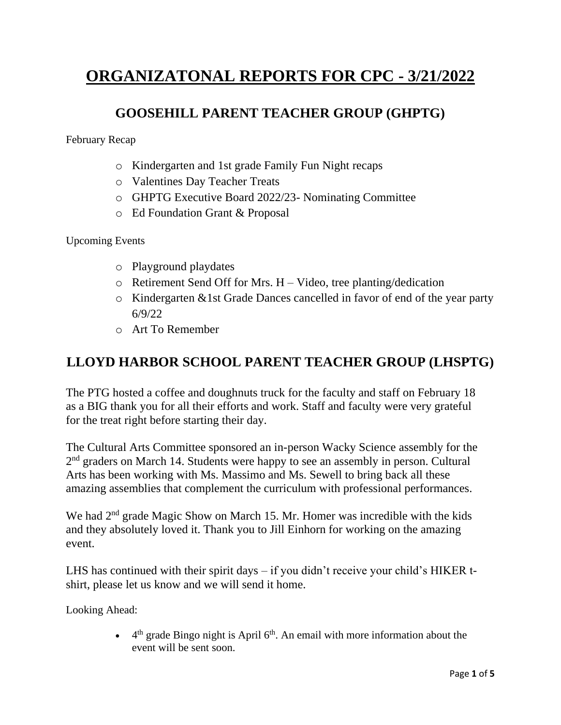# **ORGANIZATONAL REPORTS FOR CPC - 3/21/2022**

#### **GOOSEHILL PARENT TEACHER GROUP (GHPTG)**

February Recap

- o Kindergarten and 1st grade Family Fun Night recaps
- o Valentines Day Teacher Treats
- o GHPTG Executive Board 2022/23- Nominating Committee
- o Ed Foundation Grant & Proposal

Upcoming Events

- o Playground playdates
- $\circ$  Retirement Send Off for Mrs. H Video, tree planting/dedication
- o Kindergarten &1st Grade Dances cancelled in favor of end of the year party 6/9/22
- o Art To Remember

#### **LLOYD HARBOR SCHOOL PARENT TEACHER GROUP (LHSPTG)**

The PTG hosted a coffee and doughnuts truck for the faculty and staff on February 18 as a BIG thank you for all their efforts and work. Staff and faculty were very grateful for the treat right before starting their day.

The Cultural Arts Committee sponsored an in-person Wacky Science assembly for the 2<sup>nd</sup> graders on March 14. Students were happy to see an assembly in person. Cultural Arts has been working with Ms. Massimo and Ms. Sewell to bring back all these amazing assemblies that complement the curriculum with professional performances.

We had 2<sup>nd</sup> grade Magic Show on March 15. Mr. Homer was incredible with the kids and they absolutely loved it. Thank you to Jill Einhorn for working on the amazing event.

LHS has continued with their spirit days – if you didn't receive your child's HIKER tshirt, please let us know and we will send it home.

Looking Ahead:

 $\bullet$  4<sup>th</sup> grade Bingo night is April 6<sup>th</sup>. An email with more information about the event will be sent soon.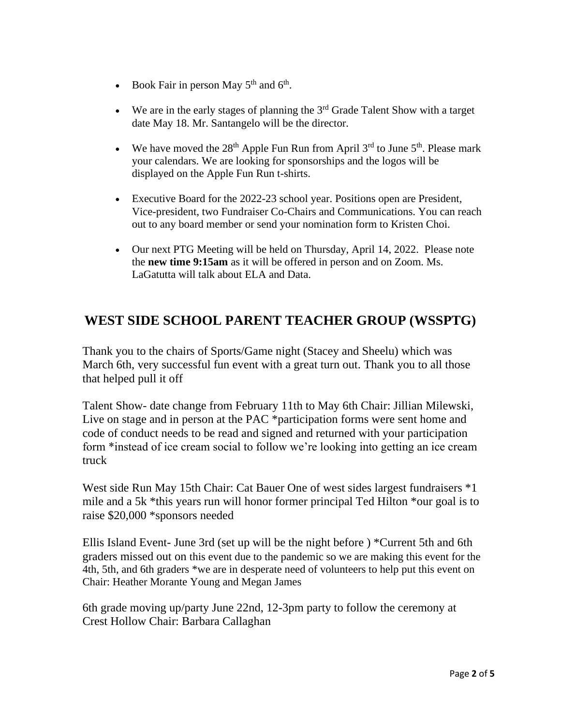- Book Fair in person May  $5<sup>th</sup>$  and  $6<sup>th</sup>$ .
- We are in the early stages of planning the  $3<sup>rd</sup>$  Grade Talent Show with a target date May 18. Mr. Santangelo will be the director.
- We have moved the  $28<sup>th</sup>$  Apple Fun Run from April  $3<sup>rd</sup>$  to June  $5<sup>th</sup>$ . Please mark your calendars. We are looking for sponsorships and the logos will be displayed on the Apple Fun Run t-shirts.
- Executive Board for the 2022-23 school year. Positions open are President, Vice-president, two Fundraiser Co-Chairs and Communications. You can reach out to any board member or send your nomination form to Kristen Choi.
- Our next PTG Meeting will be held on Thursday, April 14, 2022. Please note the **new time 9:15am** as it will be offered in person and on Zoom. Ms. LaGatutta will talk about ELA and Data.

## **WEST SIDE SCHOOL PARENT TEACHER GROUP (WSSPTG)**

Thank you to the chairs of Sports/Game night (Stacey and Sheelu) which was March 6th, very successful fun event with a great turn out. Thank you to all those that helped pull it off

Talent Show- date change from February 11th to May 6th Chair: Jillian Milewski, Live on stage and in person at the PAC \*participation forms were sent home and code of conduct needs to be read and signed and returned with your participation form \*instead of ice cream social to follow we're looking into getting an ice cream truck

West side Run May 15th Chair: Cat Bauer One of west sides largest fundraisers \*1 mile and a 5k \*this years run will honor former principal Ted Hilton \*our goal is to raise \$20,000 \*sponsors needed

Ellis Island Event- June 3rd (set up will be the night before ) \*Current 5th and 6th graders missed out on this event due to the pandemic so we are making this event for the 4th, 5th, and 6th graders \*we are in desperate need of volunteers to help put this event on Chair: Heather Morante Young and Megan James

6th grade moving up/party June 22nd, 12-3pm party to follow the ceremony at Crest Hollow Chair: Barbara Callaghan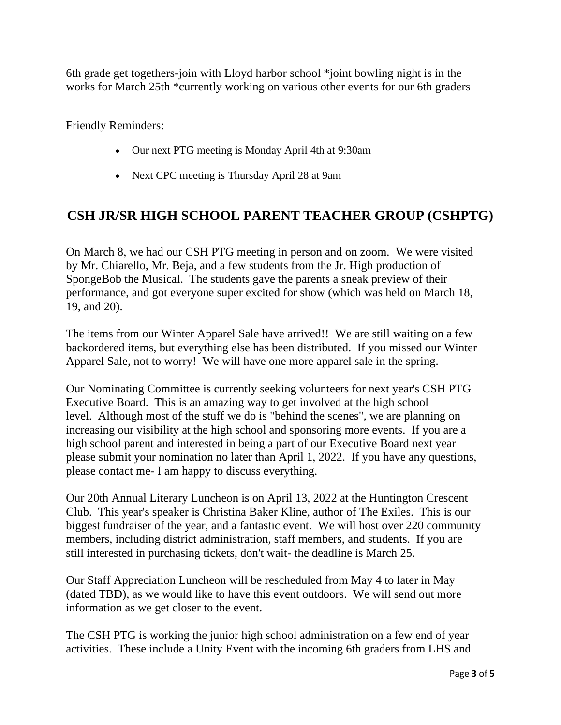6th grade get togethers-join with Lloyd harbor school \*joint bowling night is in the works for March 25th \*currently working on various other events for our 6th graders

Friendly Reminders:

- Our next PTG meeting is Monday April 4th at 9:30am
- Next CPC meeting is Thursday April 28 at 9am

#### **CSH JR/SR HIGH SCHOOL PARENT TEACHER GROUP (CSHPTG)**

On March 8, we had our CSH PTG meeting in person and on zoom. We were visited by Mr. Chiarello, Mr. Beja, and a few students from the Jr. High production of SpongeBob the Musical. The students gave the parents a sneak preview of their performance, and got everyone super excited for show (which was held on March 18, 19, and 20).

The items from our Winter Apparel Sale have arrived!! We are still waiting on a few backordered items, but everything else has been distributed. If you missed our Winter Apparel Sale, not to worry! We will have one more apparel sale in the spring.

Our Nominating Committee is currently seeking volunteers for next year's CSH PTG Executive Board. This is an amazing way to get involved at the high school level. Although most of the stuff we do is "behind the scenes", we are planning on increasing our visibility at the high school and sponsoring more events. If you are a high school parent and interested in being a part of our Executive Board next year please submit your nomination no later than April 1, 2022. If you have any questions, please contact me- I am happy to discuss everything.

Our 20th Annual Literary Luncheon is on April 13, 2022 at the Huntington Crescent Club. This year's speaker is Christina Baker Kline, author of The Exiles. This is our biggest fundraiser of the year, and a fantastic event. We will host over 220 community members, including district administration, staff members, and students. If you are still interested in purchasing tickets, don't wait- the deadline is March 25.

Our Staff Appreciation Luncheon will be rescheduled from May 4 to later in May (dated TBD), as we would like to have this event outdoors. We will send out more information as we get closer to the event.

The CSH PTG is working the junior high school administration on a few end of year activities. These include a Unity Event with the incoming 6th graders from LHS and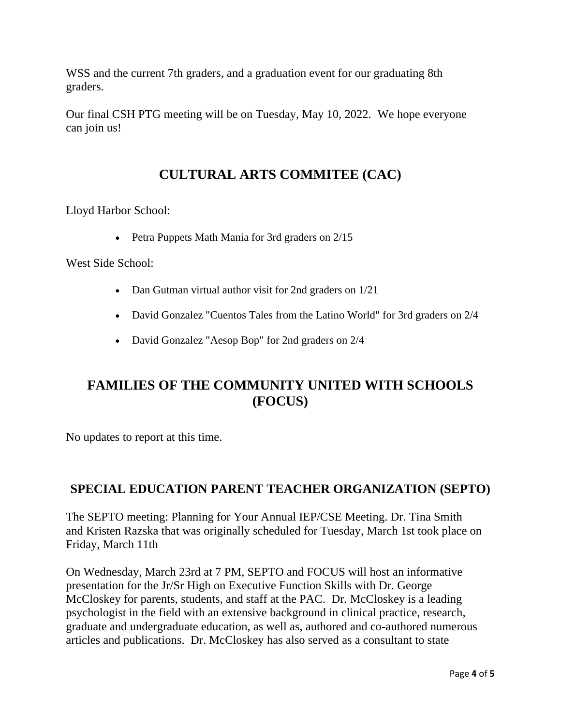WSS and the current 7th graders, and a graduation event for our graduating 8th graders.

Our final CSH PTG meeting will be on Tuesday, May 10, 2022. We hope everyone can join us!

## **CULTURAL ARTS COMMITEE (CAC)**

Lloyd Harbor School:

• Petra Puppets Math Mania for 3rd graders on 2/15

West Side School:

- Dan Gutman virtual author visit for 2nd graders on  $1/21$
- David Gonzalez "Cuentos Tales from the Latino World" for 3rd graders on 2/4
- David Gonzalez "Aesop Bop" for 2nd graders on 2/4

## **FAMILIES OF THE COMMUNITY UNITED WITH SCHOOLS (FOCUS)**

No updates to report at this time.

#### **SPECIAL EDUCATION PARENT TEACHER ORGANIZATION (SEPTO)**

The SEPTO meeting: Planning for Your Annual IEP/CSE Meeting. Dr. Tina Smith and Kristen Razska that was originally scheduled for Tuesday, March 1st took place on Friday, March 11th

On Wednesday, March 23rd at 7 PM, SEPTO and FOCUS will host an informative presentation for the Jr/Sr High on Executive Function Skills with Dr. George McCloskey for parents, students, and staff at the PAC. Dr. McCloskey is a leading psychologist in the field with an extensive background in clinical practice, research, graduate and undergraduate education, as well as, authored and co-authored numerous articles and publications. Dr. McCloskey has also served as a consultant to state